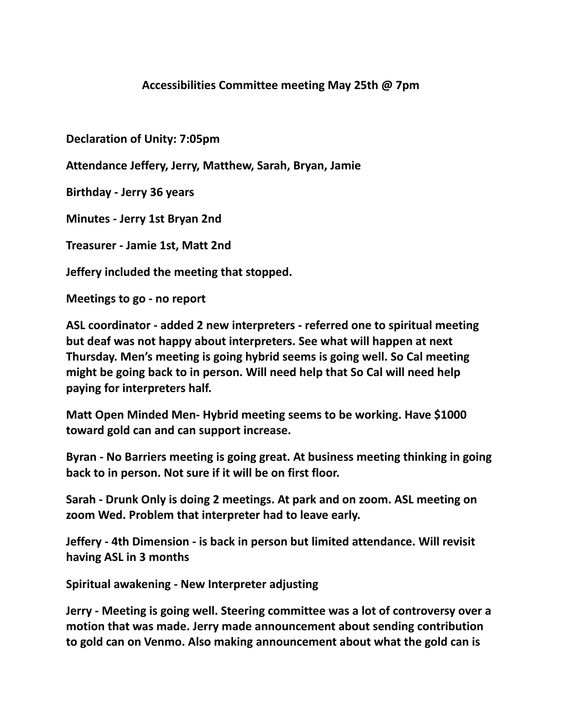## **Accessibilities Committee meeting May 25th @ 7pm**

**Declaration of Unity: 7:05pm**

**Attendance Jeffery, Jerry, Matthew, Sarah, Bryan, Jamie**

**Birthday - Jerry 36 years**

**Minutes - Jerry 1st Bryan 2nd**

**Treasurer - Jamie 1st, Matt 2nd**

**Jeffery included the meeting that stopped.**

**Meetings to go - no report**

**ASL coordinator - added 2 new interpreters - referred one to spiritual meeting but deaf was not happy about interpreters. See what will happen at next Thursday. Men's meeting is going hybrid seems is going well. So Cal meeting might be going back to in person. Will need help that So Cal will need help paying for interpreters half.**

**Matt Open Minded Men- Hybrid meeting seems to be working. Have \$1000 toward gold can and can support increase.**

**Byran - No Barriers meeting is going great. At business meeting thinking in going back to in person. Not sure if it will be on first floor.**

**Sarah - Drunk Only is doing 2 meetings. At park and on zoom. ASL meeting on zoom Wed. Problem that interpreter had to leave early.**

**Jeffery - 4th Dimension - is back in person but limited attendance. Will revisit having ASL in 3 months**

**Spiritual awakening - New Interpreter adjusting**

**Jerry - Meeting is going well. Steering committee was a lot of controversy over a motion that was made. Jerry made announcement about sending contribution to gold can on Venmo. Also making announcement about what the gold can is**